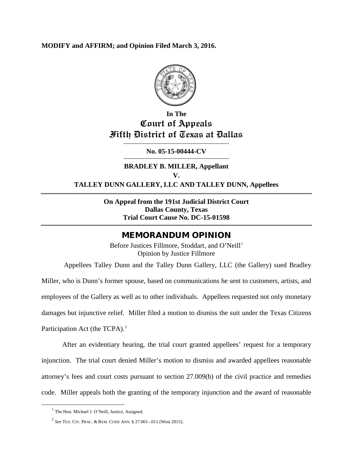# **MODIFY and AFFIRM; and Opinion Filed March 3, 2016.**



# **In The Court of Appeals Fifth District of Texas at Dallas**

# **No. 05-15-00444-CV**

**BRADLEY B. MILLER, Appellant V. TALLEY DUNN GALLERY, LLC AND TALLEY DUNN, Appellees**

> **On Appeal from the 191st Judicial District Court Dallas County, Texas Trial Court Cause No. DC-15-01598**

# MEMORANDUM OPINION

Before Justices Fillmore, Stoddart, and O'Neill<sup>[1](#page-0-0)</sup> Opinion by Justice Fillmore

Appellees Talley Dunn and the Talley Dunn Gallery, LLC (the Gallery) sued Bradley Miller, who is Dunn's former spouse, based on communications he sent to customers, artists, and employees of the Gallery as well as to other individuals. Appellees requested not only monetary damages but injunctive relief. Miller filed a motion to dismiss the suit under the Texas Citizens Participation Act (the TCPA). $^{2}$  $^{2}$  $^{2}$ 

After an evidentiary hearing, the trial court granted appellees' request for a temporary injunction. The trial court denied Miller's motion to dismiss and awarded appellees reasonable attorney's fees and court costs pursuant to section 27.009(b) of the civil practice and remedies code. Miller appeals both the granting of the temporary injunction and the award of reasonable

<span id="page-0-0"></span><sup>&</sup>lt;sup>1</sup> The Hon. Michael J. O'Neill, Justice, Assigned.

<span id="page-0-1"></span><sup>2</sup> *See* TEX. CIV. PRAC. & REM. CODE ANN. § 27.001–.011 (West 2015).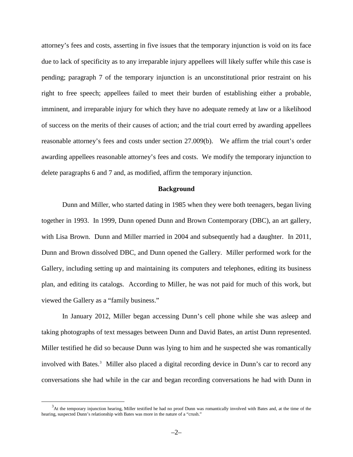attorney's fees and costs, asserting in five issues that the temporary injunction is void on its face due to lack of specificity as to any irreparable injury appellees will likely suffer while this case is pending; paragraph 7 of the temporary injunction is an unconstitutional prior restraint on his right to free speech; appellees failed to meet their burden of establishing either a probable, imminent, and irreparable injury for which they have no adequate remedy at law or a likelihood of success on the merits of their causes of action; and the trial court erred by awarding appellees reasonable attorney's fees and costs under section 27.009(b). We affirm the trial court's order awarding appellees reasonable attorney's fees and costs. We modify the temporary injunction to delete paragraphs 6 and 7 and, as modified, affirm the temporary injunction.

## **Background**

Dunn and Miller, who started dating in 1985 when they were both teenagers, began living together in 1993. In 1999, Dunn opened Dunn and Brown Contemporary (DBC), an art gallery, with Lisa Brown. Dunn and Miller married in 2004 and subsequently had a daughter. In 2011, Dunn and Brown dissolved DBC, and Dunn opened the Gallery. Miller performed work for the Gallery, including setting up and maintaining its computers and telephones, editing its business plan, and editing its catalogs. According to Miller, he was not paid for much of this work, but viewed the Gallery as a "family business."

In January 2012, Miller began accessing Dunn's cell phone while she was asleep and taking photographs of text messages between Dunn and David Bates, an artist Dunn represented. Miller testified he did so because Dunn was lying to him and he suspected she was romantically involved with Bates.<sup>[3](#page-1-0)</sup> Miller also placed a digital recording device in Dunn's car to record any conversations she had while in the car and began recording conversations he had with Dunn in

<span id="page-1-0"></span> <sup>3</sup> At the temporary injunction hearing, Miller testified he had no proof Dunn was romantically involved with Bates and, at the time of the hearing, suspected Dunn's relationship with Bates was more in the nature of a "crush."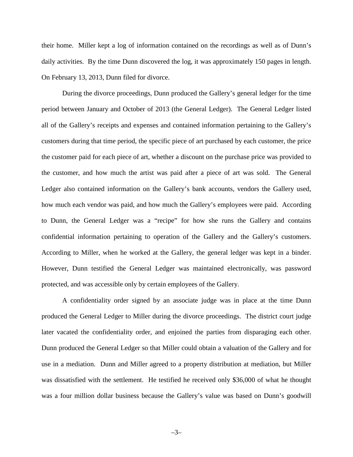their home. Miller kept a log of information contained on the recordings as well as of Dunn's daily activities. By the time Dunn discovered the log, it was approximately 150 pages in length. On February 13, 2013, Dunn filed for divorce.

During the divorce proceedings, Dunn produced the Gallery's general ledger for the time period between January and October of 2013 (the General Ledger). The General Ledger listed all of the Gallery's receipts and expenses and contained information pertaining to the Gallery's customers during that time period, the specific piece of art purchased by each customer, the price the customer paid for each piece of art, whether a discount on the purchase price was provided to the customer, and how much the artist was paid after a piece of art was sold. The General Ledger also contained information on the Gallery's bank accounts, vendors the Gallery used, how much each vendor was paid, and how much the Gallery's employees were paid. According to Dunn, the General Ledger was a "recipe" for how she runs the Gallery and contains confidential information pertaining to operation of the Gallery and the Gallery's customers. According to Miller, when he worked at the Gallery, the general ledger was kept in a binder. However, Dunn testified the General Ledger was maintained electronically, was password protected, and was accessible only by certain employees of the Gallery.

A confidentiality order signed by an associate judge was in place at the time Dunn produced the General Ledger to Miller during the divorce proceedings. The district court judge later vacated the confidentiality order, and enjoined the parties from disparaging each other. Dunn produced the General Ledger so that Miller could obtain a valuation of the Gallery and for use in a mediation. Dunn and Miller agreed to a property distribution at mediation, but Miller was dissatisfied with the settlement. He testified he received only \$36,000 of what he thought was a four million dollar business because the Gallery's value was based on Dunn's goodwill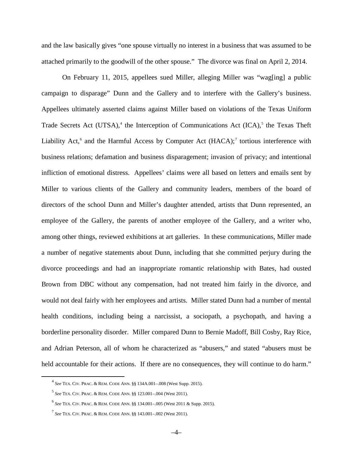and the law basically gives "one spouse virtually no interest in a business that was assumed to be attached primarily to the goodwill of the other spouse." The divorce was final on April 2, 2014.

On February 11, 2015, appellees sued Miller, alleging Miller was "wag[ing] a public campaign to disparage" Dunn and the Gallery and to interfere with the Gallery's business. Appellees ultimately asserted claims against Miller based on violations of the Texas Uniform Trade Secrets Act (UTSA), $4$  the Interception of Communications Act (ICA), $5$  the Texas Theft Liability Act,<sup>[6](#page-3-2)</sup> and the Harmful Access by Computer Act (HACA);<sup>[7](#page-3-3)</sup> tortious interference with business relations; defamation and business disparagement; invasion of privacy; and intentional infliction of emotional distress. Appellees' claims were all based on letters and emails sent by Miller to various clients of the Gallery and community leaders, members of the board of directors of the school Dunn and Miller's daughter attended, artists that Dunn represented, an employee of the Gallery, the parents of another employee of the Gallery, and a writer who, among other things, reviewed exhibitions at art galleries. In these communications, Miller made a number of negative statements about Dunn, including that she committed perjury during the divorce proceedings and had an inappropriate romantic relationship with Bates, had ousted Brown from DBC without any compensation, had not treated him fairly in the divorce, and would not deal fairly with her employees and artists. Miller stated Dunn had a number of mental health conditions, including being a narcissist, a sociopath, a psychopath, and having a borderline personality disorder. Miller compared Dunn to Bernie Madoff, Bill Cosby, Ray Rice, and Adrian Peterson, all of whom he characterized as "abusers," and stated "abusers must be held accountable for their actions. If there are no consequences, they will continue to do harm."

<span id="page-3-0"></span> <sup>4</sup> *See* TEX. CIV. PRAC. & REM. CODE ANN. §§ 134A.001–.008 (West Supp. 2015).

<span id="page-3-1"></span><sup>5</sup> *See* TEX. CIV. PRAC. & REM. CODE ANN. §§ 123.001–.004 (West 2011).

<span id="page-3-2"></span><sup>6</sup> *See* TEX. CIV. PRAC. & REM. CODE ANN. §§ 134.001–.005 (West 2011 & Supp. 2015).

<span id="page-3-3"></span><sup>7</sup> *See* TEX. CIV. PRAC. & REM. CODE ANN. §§ 143.001–.002 (West 2011).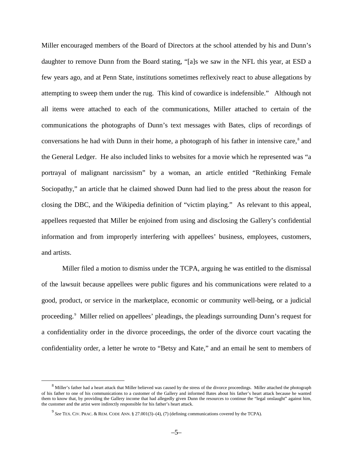Miller encouraged members of the Board of Directors at the school attended by his and Dunn's daughter to remove Dunn from the Board stating, "[a]s we saw in the NFL this year, at ESD a few years ago, and at Penn State, institutions sometimes reflexively react to abuse allegations by attempting to sweep them under the rug. This kind of cowardice is indefensible." Although not all items were attached to each of the communications, Miller attached to certain of the communications the photographs of Dunn's text messages with Bates, clips of recordings of conversations he had with Dunn in their home, a photograph of his father in intensive care,<sup>[8](#page-4-0)</sup> and the General Ledger. He also included links to websites for a movie which he represented was "a portrayal of malignant narcissism" by a woman, an article entitled "Rethinking Female Sociopathy," an article that he claimed showed Dunn had lied to the press about the reason for closing the DBC, and the Wikipedia definition of "victim playing." As relevant to this appeal, appellees requested that Miller be enjoined from using and disclosing the Gallery's confidential information and from improperly interfering with appellees' business, employees, customers, and artists.

Miller filed a motion to dismiss under the TCPA, arguing he was entitled to the dismissal of the lawsuit because appellees were public figures and his communications were related to a good, product, or service in the marketplace, economic or community well-being, or a judicial proceeding.[9](#page-4-1) Miller relied on appellees' pleadings, the pleadings surrounding Dunn's request for a confidentiality order in the divorce proceedings, the order of the divorce court vacating the confidentiality order, a letter he wrote to "Betsy and Kate," and an email he sent to members of

<span id="page-4-1"></span><span id="page-4-0"></span><sup>&</sup>lt;sup>8</sup> Miller's father had a heart attack that Miller believed was caused by the stress of the divorce proceedings. Miller attached the photograph of his father to one of his communications to a customer of the Gallery and informed Bates about his father's heart attack because he wanted them to know that, by providing the Gallery income that had allegedly given Dunn the resources to continue the "legal onslaught" against him, the customer and the artist were indirectly responsible for his father's heart attack.

<sup>9</sup> *See* TEX. CIV. PRAC. & REM. CODE ANN. § 27.001(3)–(4), (7) (defining communications covered by the TCPA).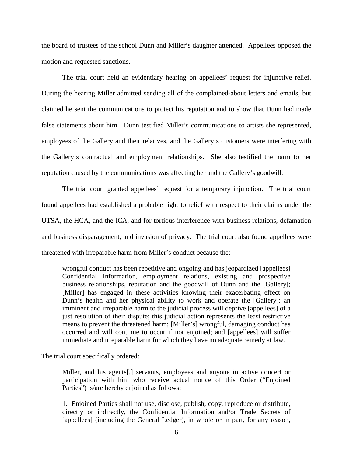the board of trustees of the school Dunn and Miller's daughter attended. Appellees opposed the motion and requested sanctions.

The trial court held an evidentiary hearing on appellees' request for injunctive relief. During the hearing Miller admitted sending all of the complained-about letters and emails, but claimed he sent the communications to protect his reputation and to show that Dunn had made false statements about him. Dunn testified Miller's communications to artists she represented, employees of the Gallery and their relatives, and the Gallery's customers were interfering with the Gallery's contractual and employment relationships. She also testified the harm to her reputation caused by the communications was affecting her and the Gallery's goodwill.

The trial court granted appellees' request for a temporary injunction. The trial court found appellees had established a probable right to relief with respect to their claims under the UTSA, the HCA, and the ICA, and for tortious interference with business relations, defamation and business disparagement, and invasion of privacy. The trial court also found appellees were threatened with irreparable harm from Miller's conduct because the:

wrongful conduct has been repetitive and ongoing and has jeopardized [appellees] Confidential Information, employment relations, existing and prospective business relationships, reputation and the goodwill of Dunn and the [Gallery]; [Miller] has engaged in these activities knowing their exacerbating effect on Dunn's health and her physical ability to work and operate the [Gallery]; an imminent and irreparable harm to the judicial process will deprive [appellees] of a just resolution of their dispute; this judicial action represents the least restrictive means to prevent the threatened harm; [Miller's] wrongful, damaging conduct has occurred and will continue to occur if not enjoined; and [appellees] will suffer immediate and irreparable harm for which they have no adequate remedy at law.

The trial court specifically ordered:

Miller, and his agents[,] servants, employees and anyone in active concert or participation with him who receive actual notice of this Order ("Enjoined Parties") is/are hereby enjoined as follows:

1. Enjoined Parties shall not use, disclose, publish, copy, reproduce or distribute, directly or indirectly, the Confidential Information and/or Trade Secrets of [appellees] (including the General Ledger), in whole or in part, for any reason,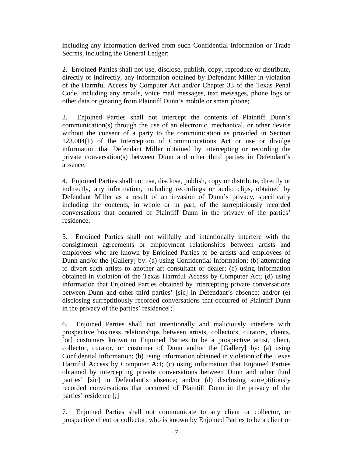including any information derived from such Confidential Information or Trade Secrets, including the General Ledger;

2. Enjoined Parties shall not use, disclose, publish, copy, reproduce or distribute, directly or indirectly, any information obtained by Defendant Miller in violation of the Harmful Access by Computer Act and/or Chapter 33 of the Texas Penal Code, including any emails, voice mail messages, text messages, phone logs or other data originating from Plaintiff Dunn's mobile or smart phone;

3. Enjoined Parties shall not intercept the contents of Plaintiff Dunn's communication(s) through the use of an electronic, mechanical, or other device without the consent of a party to the communication as provided in Section 123.004(1) of the Interception of Communications Act or use or divulge information that Defendant Miller obtained by intercepting or recording the private conversation(s) between Dunn and other third parties in Defendant's absence;

4. Enjoined Parties shall not use, disclose, publish, copy or distribute, directly or indirectly, any information, including recordings or audio clips, obtained by Defendant Miller as a result of an invasion of Dunn's privacy, specifically including the contents, in whole or in part, of the surreptitiously recorded conversations that occurred of Plaintiff Dunn in the privacy of the parties' residence;

5. Enjoined Parties shall not willfully and intentionally interfere with the consignment agreements or employment relationships between artists and employees who are known by Enjoined Parties to be artists and employees of Dunn and/or the [Gallery] by: (a) using Confidential Information; (b) attempting to divert such artists to another art consultant or dealer; (c) using information obtained in violation of the Texas Harmful Access by Computer Act; (d) using information that Enjoined Parties obtained by intercepting private conversations between Dunn and other third parties' [sic] in Defendant's absence; and/or (e) disclosing surreptitiously recorded conversations that occurred of Plaintiff Dunn in the privacy of the parties' residence[;]

6. Enjoined Parties shall not intentionally and maliciously interfere with prospective business relationships between artists, collectors, curators, clients, [or] customers known to Enjoined Parties to be a prospective artist, client, collector, curator, or customer of Dunn and/or the [Gallery] by: (a) using Confidential Information; (b) using information obtained in violation of the Texas Harmful Access by Computer Act; (c) using information that Enjoined Parties obtained by intercepting private conversations between Dunn and other third parties' [sic] in Defendant's absence; and/or (d) disclosing surreptitiously recorded conversations that occurred of Plaintiff Dunn in the privacy of the parties' residence [;]

7. Enjoined Parties shall not communicate to any client or collector, or prospective client or collector, who is known by Enjoined Parties to be a client or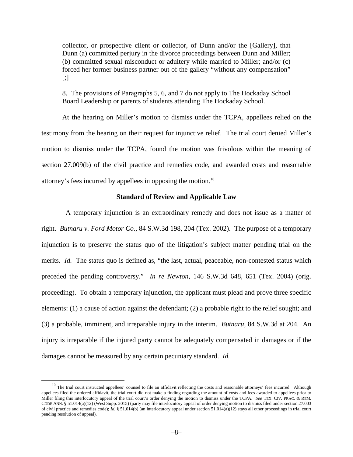collector, or prospective client or collector, of Dunn and/or the [Gallery], that Dunn (a) committed perjury in the divorce proceedings between Dunn and Miller; (b) committed sexual misconduct or adultery while married to Miller; and/or (c) forced her former business partner out of the gallery "without any compensation" [;]

8. The provisions of Paragraphs 5, 6, and 7 do not apply to The Hockaday School Board Leadership or parents of students attending The Hockaday School.

At the hearing on Miller's motion to dismiss under the TCPA, appellees relied on the testimony from the hearing on their request for injunctive relief. The trial court denied Miller's motion to dismiss under the TCPA, found the motion was frivolous within the meaning of section 27.009(b) of the civil practice and remedies code, and awarded costs and reasonable attorney's fees incurred by appellees in opposing the motion.[10](#page-7-0)

# **Standard of Review and Applicable Law**

 A temporary injunction is an extraordinary remedy and does not issue as a matter of right. *Butnaru v. Ford Motor Co.*, 84 S.W.3d 198, 204 (Tex. 2002). The purpose of a temporary injunction is to preserve the status quo of the litigation's subject matter pending trial on the merits. *Id.* The status quo is defined as, "the last, actual, peaceable, non-contested status which preceded the pending controversy." *In re Newton*, 146 S.W.3d 648, 651 (Tex. 2004) (orig. proceeding). To obtain a temporary injunction, the applicant must plead and prove three specific elements: (1) a cause of action against the defendant; (2) a probable right to the relief sought; and (3) a probable, imminent, and irreparable injury in the interim. *Butnaru*, 84 S.W.3d at 204. An injury is irreparable if the injured party cannot be adequately compensated in damages or if the damages cannot be measured by any certain pecuniary standard. *Id.*

<span id="page-7-0"></span><sup>&</sup>lt;sup>10</sup> The trial court instructed appellees' counsel to file an affidavit reflecting the costs and reasonable attorneys' fees incurred. Although appellees filed the ordered affidavit, the trial court did not make a finding regarding the amount of costs and fees awarded to appellees prior to Miller filing this interlocutory appeal of the trial court's order denying the motion to dismiss under the TCPA. *See* TEX. CIV. PRAC. & REM. CODE ANN. § 51.014(a)(12) (West Supp. 2015) (party may file interlocutory appeal of order denying motion to dismiss filed under section 27.003 of civil practice and remedies code);  $Id.$  § 51.014(b) (an interlocutory appeal under section 51.014(a)(12) stays all other proceedings in trial court pending resolution of appeal).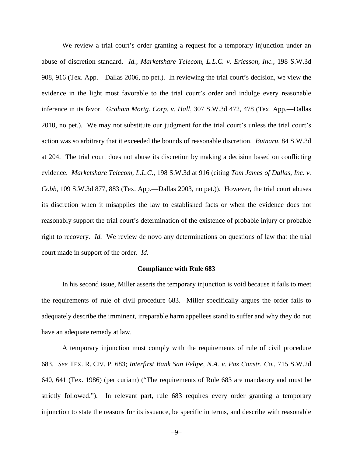We review a trial court's order granting a request for a temporary injunction under an abuse of discretion standard. *Id.*; *Marketshare Telecom, L.L.C. v. Ericsson, Inc.*, 198 S.W.3d 908, 916 (Tex. App.—Dallas 2006, no pet.). In reviewing the trial court's decision, we view the evidence in the light most favorable to the trial court's order and indulge every reasonable inference in its favor. *Graham Mortg. Corp. v. Hall*, 307 S.W.3d 472, 478 (Tex. App.—Dallas 2010, no pet.). We may not substitute our judgment for the trial court's unless the trial court's action was so arbitrary that it exceeded the bounds of reasonable discretion. *Butnaru*, 84 S.W.3d at 204. The trial court does not abuse its discretion by making a decision based on conflicting evidence. *Marketshare Telecom, L.L.C.*, 198 S.W.3d at 916 (citing *Tom James of Dallas, Inc. v. Cobb*, 109 S.W.3d 877, 883 (Tex. App.—Dallas 2003, no pet.)). However, the trial court abuses its discretion when it misapplies the law to established facts or when the evidence does not reasonably support the trial court's determination of the existence of probable injury or probable right to recovery. *Id.* We review de novo any determinations on questions of law that the trial court made in support of the order. *Id.*

#### **Compliance with Rule 683**

In his second issue, Miller asserts the temporary injunction is void because it fails to meet the requirements of rule of civil procedure 683. Miller specifically argues the order fails to adequately describe the imminent, irreparable harm appellees stand to suffer and why they do not have an adequate remedy at law.

A temporary injunction must comply with the requirements of rule of civil procedure 683. *See* TEX. R. CIV. P. 683; *Interfirst Bank San Felipe, N.A. v. Paz Constr. Co.*, 715 S.W.2d 640, 641 (Tex. 1986) (per curiam) ("The requirements of Rule 683 are mandatory and must be strictly followed."). In relevant part, rule 683 requires every order granting a temporary injunction to state the reasons for its issuance, be specific in terms, and describe with reasonable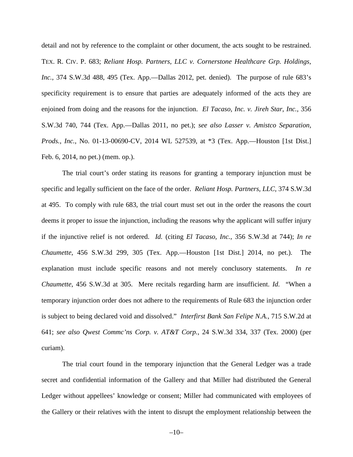detail and not by reference to the complaint or other document, the acts sought to be restrained. TEX. R. CIV. P. 683; *Reliant Hosp. Partners, LLC v. Cornerstone Healthcare Grp. Holdings, Inc.*, 374 S.W.3d 488, 495 (Tex. App.—Dallas 2012, pet. denied). The purpose of rule 683's specificity requirement is to ensure that parties are adequately informed of the acts they are enjoined from doing and the reasons for the injunction. *El Tacaso, Inc. v. Jireh Star, Inc.*, 356 S.W.3d 740, 744 (Tex. App.—Dallas 2011, no pet.); *see also Lasser v. Amistco Separation, Prods., Inc.*, No. 01-13-00690-CV, 2014 WL 527539, at \*3 (Tex. App.—Houston [1st Dist.] Feb. 6, 2014, no pet.) (mem. op.).

The trial court's order stating its reasons for granting a temporary injunction must be specific and legally sufficient on the face of the order. *Reliant Hosp. Partners, LLC*, 374 S.W.3d at 495. To comply with rule 683, the trial court must set out in the order the reasons the court deems it proper to issue the injunction, including the reasons why the applicant will suffer injury if the injunctive relief is not ordered. *Id.* (citing *El Tacaso, Inc.*, 356 S.W.3d at 744); *In re Chaumette*, 456 S.W.3d 299, 305 (Tex. App.—Houston [1st Dist.] 2014, no pet.). The explanation must include specific reasons and not merely conclusory statements. *In re Chaumette*, 456 S.W.3d at 305. Mere recitals regarding harm are insufficient. *Id.* "When a temporary injunction order does not adhere to the requirements of Rule 683 the injunction order is subject to being declared void and dissolved." *Interfirst Bank San Felipe N.A.*, 715 S.W.2d at 641; *see also Qwest Commc'ns Corp. v. AT&T Corp.*, 24 S.W.3d 334, 337 (Tex. 2000) (per curiam).

The trial court found in the temporary injunction that the General Ledger was a trade secret and confidential information of the Gallery and that Miller had distributed the General Ledger without appellees' knowledge or consent; Miller had communicated with employees of the Gallery or their relatives with the intent to disrupt the employment relationship between the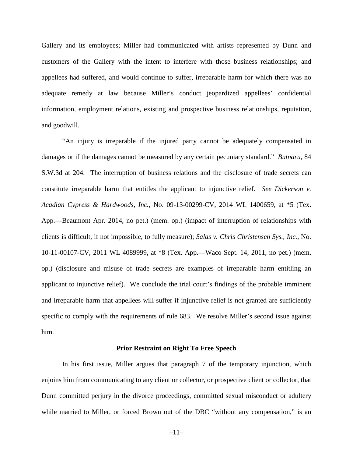Gallery and its employees; Miller had communicated with artists represented by Dunn and customers of the Gallery with the intent to interfere with those business relationships; and appellees had suffered, and would continue to suffer, irreparable harm for which there was no adequate remedy at law because Miller's conduct jeopardized appellees' confidential information, employment relations, existing and prospective business relationships, reputation, and goodwill.

"An injury is irreparable if the injured party cannot be adequately compensated in damages or if the damages cannot be measured by any certain pecuniary standard." *Butnaru*, 84 S.W.3d at 204. The interruption of business relations and the disclosure of trade secrets can constitute irreparable harm that entitles the applicant to injunctive relief. *See Dickerson v. Acadian Cypress & Hardwoods, Inc.*, No. 09-13-00299-CV, 2014 WL 1400659, at \*5 (Tex. App.—Beaumont Apr. 2014, no pet.) (mem. op.) (impact of interruption of relationships with clients is difficult, if not impossible, to fully measure); *Salas v. Chris Christensen Sys., Inc.*, No. 10-11-00107-CV, 2011 WL 4089999, at \*8 (Tex. App.—Waco Sept. 14, 2011, no pet.) (mem. op.) (disclosure and misuse of trade secrets are examples of irreparable harm entitling an applicant to injunctive relief). We conclude the trial court's findings of the probable imminent and irreparable harm that appellees will suffer if injunctive relief is not granted are sufficiently specific to comply with the requirements of rule 683. We resolve Miller's second issue against him.

## **Prior Restraint on Right To Free Speech**

In his first issue, Miller argues that paragraph 7 of the temporary injunction, which enjoins him from communicating to any client or collector, or prospective client or collector, that Dunn committed perjury in the divorce proceedings, committed sexual misconduct or adultery while married to Miller, or forced Brown out of the DBC "without any compensation," is an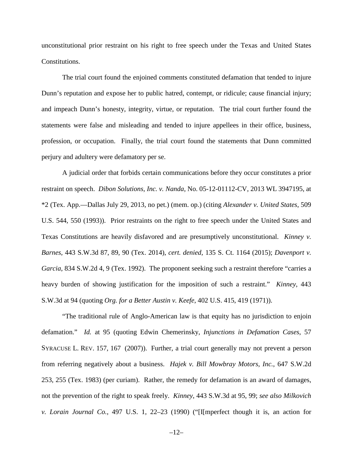unconstitutional prior restraint on his right to free speech under the Texas and United States Constitutions.

The trial court found the enjoined comments constituted defamation that tended to injure Dunn's reputation and expose her to public hatred, contempt, or ridicule; cause financial injury; and impeach Dunn's honesty, integrity, virtue, or reputation. The trial court further found the statements were false and misleading and tended to injure appellees in their office, business, profession, or occupation. Finally, the trial court found the statements that Dunn committed perjury and adultery were defamatory per se.

A judicial order that forbids certain communications before they occur constitutes a prior restraint on speech. *Dibon Solutions, Inc. v. Nanda*, No. 05-12-01112-CV, 2013 WL 3947195, at \*2 (Tex. App.—Dallas July 29, 2013, no pet.) (mem. op.) (citing *Alexander v. United States*, 509 U.S. 544, 550 (1993)). Prior restraints on the right to free speech under the United States and Texas Constitutions are heavily disfavored and are presumptively unconstitutional. *Kinney v. Barnes*, 443 S.W.3d 87, 89, 90 (Tex. 2014), *cert. denied*, 135 S. Ct. 1164 (2015); *Davenport v. Garcia*, 834 S.W.2d 4, 9 (Tex. 1992). The proponent seeking such a restraint therefore "carries a heavy burden of showing justification for the imposition of such a restraint." *Kinney*, 443 S.W.3d at 94 (quoting *Org. for a Better Austin v. Keefe*, 402 U.S. 415, 419 (1971)).

"The traditional rule of Anglo-American law is that equity has no jurisdiction to enjoin defamation." *Id.* at 95 (quoting Edwin Chemerinsky, *Injunctions in Defamation Cases*, 57 SYRACUSE L. REV. 157, 167 (2007)). Further, a trial court generally may not prevent a person from referring negatively about a business. *Hajek v. Bill Mowbray Motors, Inc.*, 647 S.W.2d 253, 255 (Tex. 1983) (per curiam). Rather, the remedy for defamation is an award of damages, not the prevention of the right to speak freely. *Kinney*, 443 S.W.3d at 95, 99; *see also Milkovich v. Lorain Journal Co.*, 497 U.S. 1, 22–23 (1990) ("[I[mperfect though it is, an action for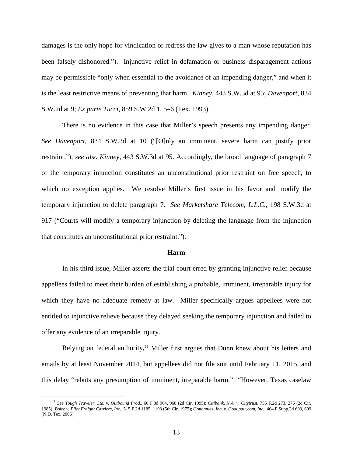damages is the only hope for vindication or redress the law gives to a man whose reputation has been falsely dishonored."). Injunctive relief in defamation or business disparagement actions may be permissible "only when essential to the avoidance of an impending danger," and when it is the least restrictive means of preventing that harm. *Kinney*, 443 S.W.3d at 95; *Davenport*, 834 S.W.2d at 9; *Ex parte Tucci*, 859 S.W.2d 1, 5–6 (Tex. 1993).

There is no evidence in this case that Miller's speech presents any impending danger. *See Davenport*, 834 S.W.2d at 10 ("[O]nly an imminent, severe harm can justify prior restraint."); *see also Kinney*, 443 S.W.3d at 95. Accordingly, the broad language of paragraph 7 of the temporary injunction constitutes an unconstitutional prior restraint on free speech, to which no exception applies. We resolve Miller's first issue in his favor and modify the temporary injunction to delete paragraph 7. *See Marketshare Telecom, L.L.C.*, 198 S.W.3d at 917 ("Courts will modify a temporary injunction by deleting the language from the injunction that constitutes an unconstitutional prior restraint.").

# **Harm**

In his third issue, Miller asserts the trial court erred by granting injunctive relief because appellees failed to meet their burden of establishing a probable, imminent, irreparable injury for which they have no adequate remedy at law. Miller specifically argues appellees were not entitled to injunctive relieve because they delayed seeking the temporary injunction and failed to offer any evidence of an irreparable injury.

Relying on federal authority, $\frac{11}{11}$  $\frac{11}{11}$  $\frac{11}{11}$  Miller first argues that Dunn knew about his letters and emails by at least November 2014, but appellees did not file suit until February 11, 2015, and this delay "rebuts any presumption of imminent, irreparable harm." "However, Texas caselaw

<span id="page-12-0"></span> <sup>11</sup> *See Tough Traveler, Ltd. v. Outbound Prod.*, 60 F.3d 964, 968 (2d Cir. 1995); *Citibank, N.A. v. Citytrust*, 756 F.2d 273, 276 (2d Cir. 1985); *Boire v. Pilot Freight Carriers, Inc.*, 515 F.2d 1185, 1193 (5th Cir. 1975); *Gonannies, Inc. v. Goaupair.com, Inc.*, 464 F.Supp.2d 603, 609 (N.D. Tex. 2006).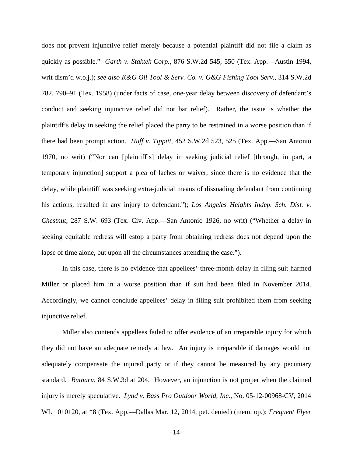does not prevent injunctive relief merely because a potential plaintiff did not file a claim as quickly as possible." *Garth v. Staktek Corp.*, 876 S.W.2d 545, 550 (Tex. App.—Austin 1994, writ dism'd w.o.j.); *see also K&G Oil Tool & Serv. Co. v. G&G Fishing Tool Serv.*, 314 S.W.2d 782, 790–91 (Tex. 1958) (under facts of case, one-year delay between discovery of defendant's conduct and seeking injunctive relief did not bar relief). Rather, the issue is whether the plaintiff's delay in seeking the relief placed the party to be restrained in a worse position than if there had been prompt action. *Huff v. Tippitt*, 452 S.W.2d 523, 525 (Tex. App.—San Antonio 1970, no writ) ("Nor can [plaintiff's] delay in seeking judicial relief [through, in part, a temporary injunction] support a plea of laches or waiver, since there is no evidence that the delay, while plaintiff was seeking extra-judicial means of dissuading defendant from continuing his actions, resulted in any injury to defendant."); *Los Angeles Heights Indep. Sch. Dist. v. Chestnut*, 287 S.W. 693 (Tex. Civ. App.—San Antonio 1926, no writ) ("Whether a delay in seeking equitable redress will estop a party from obtaining redress does not depend upon the lapse of time alone, but upon all the circumstances attending the case.").

In this case, there is no evidence that appellees' three-month delay in filing suit harmed Miller or placed him in a worse position than if suit had been filed in November 2014. Accordingly, we cannot conclude appellees' delay in filing suit prohibited them from seeking injunctive relief.

Miller also contends appellees failed to offer evidence of an irreparable injury for which they did not have an adequate remedy at law. An injury is irreparable if damages would not adequately compensate the injured party or if they cannot be measured by any pecuniary standard. *Butnaru*, 84 S.W.3d at 204. However, an injunction is not proper when the claimed injury is merely speculative. *Lynd v. Bass Pro Outdoor World, Inc.*, No. 05-12-00968-CV, 2014 WL 1010120, at \*8 (Tex. App.—Dallas Mar. 12, 2014, pet. denied) (mem. op.); *Frequent Flyer*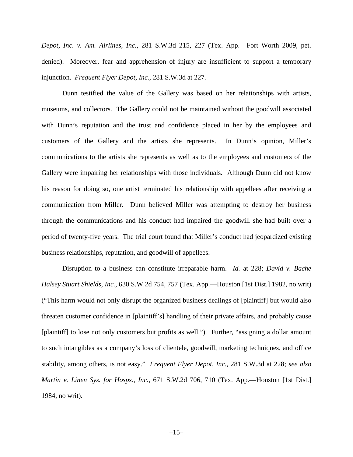*Depot, Inc. v. Am. Airlines, Inc.*, 281 S.W.3d 215, 227 (Tex. App.—Fort Worth 2009, pet. denied). Moreover, fear and apprehension of injury are insufficient to support a temporary injunction. *Frequent Flyer Depot, Inc.*, 281 S.W.3d at 227*.*

Dunn testified the value of the Gallery was based on her relationships with artists, museums, and collectors. The Gallery could not be maintained without the goodwill associated with Dunn's reputation and the trust and confidence placed in her by the employees and customers of the Gallery and the artists she represents. In Dunn's opinion, Miller's communications to the artists she represents as well as to the employees and customers of the Gallery were impairing her relationships with those individuals. Although Dunn did not know his reason for doing so, one artist terminated his relationship with appellees after receiving a communication from Miller. Dunn believed Miller was attempting to destroy her business through the communications and his conduct had impaired the goodwill she had built over a period of twenty-five years. The trial court found that Miller's conduct had jeopardized existing business relationships, reputation, and goodwill of appellees.

Disruption to a business can constitute irreparable harm. *Id.* at 228; *David v. Bache Halsey Stuart Shields, Inc.*, 630 S.W.2d 754, 757 (Tex. App.—Houston [1st Dist.] 1982, no writ) ("This harm would not only disrupt the organized business dealings of [plaintiff] but would also threaten customer confidence in [plaintiff's] handling of their private affairs, and probably cause [plaintiff] to lose not only customers but profits as well."). Further, "assigning a dollar amount to such intangibles as a company's loss of clientele, goodwill, marketing techniques, and office stability, among others, is not easy." *Frequent Flyer Depot, Inc.*, 281 S.W.3d at 228; *see also Martin v. Linen Sys. for Hosps., Inc.*, 671 S.W.2d 706, 710 (Tex. App.—Houston [1st Dist.] 1984, no writ).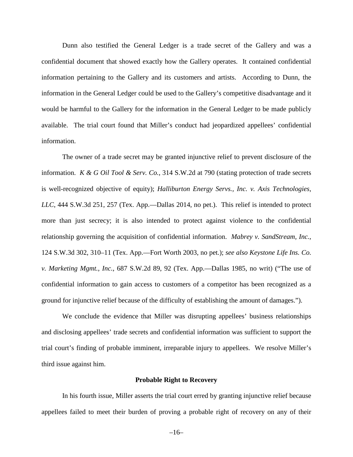Dunn also testified the General Ledger is a trade secret of the Gallery and was a confidential document that showed exactly how the Gallery operates. It contained confidential information pertaining to the Gallery and its customers and artists. According to Dunn, the information in the General Ledger could be used to the Gallery's competitive disadvantage and it would be harmful to the Gallery for the information in the General Ledger to be made publicly available. The trial court found that Miller's conduct had jeopardized appellees' confidential information.

The owner of a trade secret may be granted injunctive relief to prevent disclosure of the information. *K & G Oil Tool & Serv. Co.*, 314 S.W.2d at 790 (stating protection of trade secrets is well-recognized objective of equity); *Halliburton Energy Servs., Inc. v. Axis Technologies, LLC*, 444 S.W.3d 251, 257 (Tex. App.—Dallas 2014, no pet.). This relief is intended to protect more than just secrecy; it is also intended to protect against violence to the confidential relationship governing the acquisition of confidential information. *Mabrey v. SandStream, Inc.*, 124 S.W.3d 302, 310–11 (Tex. App.—Fort Worth 2003, no pet.); *see also Keystone Life Ins. Co. v. Marketing Mgmt., Inc.*, 687 S.W.2d 89, 92 (Tex. App.—Dallas 1985, no writ) ("The use of confidential information to gain access to customers of a competitor has been recognized as a ground for injunctive relief because of the difficulty of establishing the amount of damages.").

We conclude the evidence that Miller was disrupting appellees' business relationships and disclosing appellees' trade secrets and confidential information was sufficient to support the trial court's finding of probable imminent, irreparable injury to appellees. We resolve Miller's third issue against him.

#### **Probable Right to Recovery**

In his fourth issue, Miller asserts the trial court erred by granting injunctive relief because appellees failed to meet their burden of proving a probable right of recovery on any of their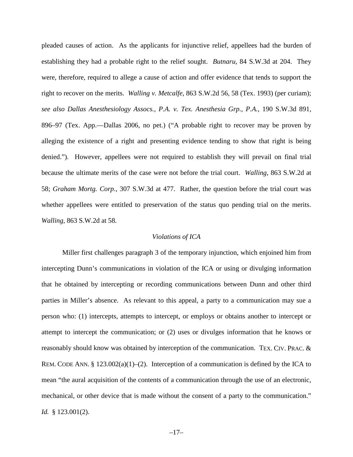pleaded causes of action. As the applicants for injunctive relief, appellees had the burden of establishing they had a probable right to the relief sought. *Butnaru*, 84 S.W.3d at 204. They were, therefore, required to allege a cause of action and offer evidence that tends to support the right to recover on the merits. *Walling v. Metcalfe*, 863 S.W.2d 56, 58 (Tex. 1993) (per curiam); *see also Dallas Anesthesiology Assocs., P.A. v. Tex. Anesthesia Grp., P.A.*, 190 S.W.3d 891, 896–97 (Tex. App.—Dallas 2006, no pet.) ("A probable right to recover may be proven by alleging the existence of a right and presenting evidence tending to show that right is being denied."). However, appellees were not required to establish they will prevail on final trial because the ultimate merits of the case were not before the trial court. *Walling*, 863 S.W.2d at 58; *Graham Mortg. Corp.*, 307 S.W.3d at 477. Rather, the question before the trial court was whether appellees were entitled to preservation of the status quo pending trial on the merits. *Walling*, 863 S.W.2d at 58.

# *Violations of ICA*

Miller first challenges paragraph 3 of the temporary injunction, which enjoined him from intercepting Dunn's communications in violation of the ICA or using or divulging information that he obtained by intercepting or recording communications between Dunn and other third parties in Miller's absence. As relevant to this appeal, a party to a communication may sue a person who: (1) intercepts, attempts to intercept, or employs or obtains another to intercept or attempt to intercept the communication; or (2) uses or divulges information that he knows or reasonably should know was obtained by interception of the communication. TEX. CIV. PRAC. & REM. CODE ANN. § 123.002(a)(1)–(2). Interception of a communication is defined by the ICA to mean "the aural acquisition of the contents of a communication through the use of an electronic, mechanical, or other device that is made without the consent of a party to the communication." *Id.* § 123.001(2).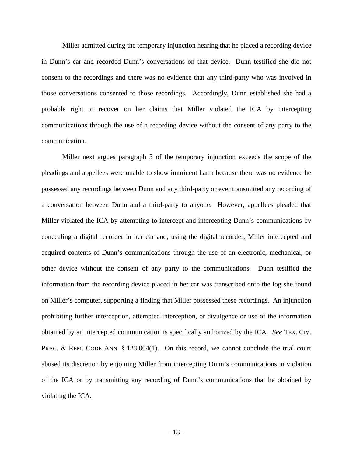Miller admitted during the temporary injunction hearing that he placed a recording device in Dunn's car and recorded Dunn's conversations on that device. Dunn testified she did not consent to the recordings and there was no evidence that any third-party who was involved in those conversations consented to those recordings. Accordingly, Dunn established she had a probable right to recover on her claims that Miller violated the ICA by intercepting communications through the use of a recording device without the consent of any party to the communication.

Miller next argues paragraph 3 of the temporary injunction exceeds the scope of the pleadings and appellees were unable to show imminent harm because there was no evidence he possessed any recordings between Dunn and any third-party or ever transmitted any recording of a conversation between Dunn and a third-party to anyone. However, appellees pleaded that Miller violated the ICA by attempting to intercept and intercepting Dunn's communications by concealing a digital recorder in her car and, using the digital recorder, Miller intercepted and acquired contents of Dunn's communications through the use of an electronic, mechanical, or other device without the consent of any party to the communications. Dunn testified the information from the recording device placed in her car was transcribed onto the log she found on Miller's computer, supporting a finding that Miller possessed these recordings. An injunction prohibiting further interception, attempted interception, or divulgence or use of the information obtained by an intercepted communication is specifically authorized by the ICA. *See* TEX. CIV. PRAC. & REM. CODE ANN. § 123.004(1). On this record, we cannot conclude the trial court abused its discretion by enjoining Miller from intercepting Dunn's communications in violation of the ICA or by transmitting any recording of Dunn's communications that he obtained by violating the ICA.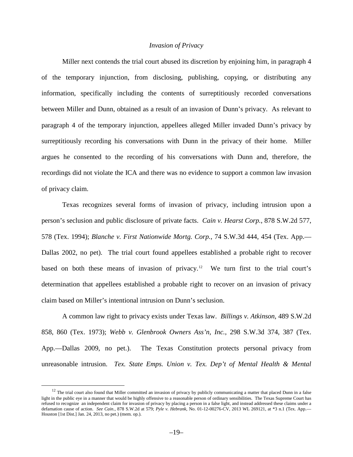# *Invasion of Privacy*

Miller next contends the trial court abused its discretion by enjoining him, in paragraph 4 of the temporary injunction, from disclosing, publishing, copying, or distributing any information, specifically including the contents of surreptitiously recorded conversations between Miller and Dunn, obtained as a result of an invasion of Dunn's privacy. As relevant to paragraph 4 of the temporary injunction, appellees alleged Miller invaded Dunn's privacy by surreptitiously recording his conversations with Dunn in the privacy of their home. Miller argues he consented to the recording of his conversations with Dunn and, therefore, the recordings did not violate the ICA and there was no evidence to support a common law invasion of privacy claim.

Texas recognizes several forms of invasion of privacy, including intrusion upon a person's seclusion and public disclosure of private facts. *Cain v. Hearst Corp.*, 878 S.W.2d 577, 578 (Tex. 1994); *Blanche v. First Nationwide Mortg. Corp.*, 74 S.W.3d 444, 454 (Tex. App.— Dallas 2002, no pet). The trial court found appellees established a probable right to recover based on both these means of invasion of privacy.<sup>[12](#page-18-0)</sup> We turn first to the trial court's determination that appellees established a probable right to recover on an invasion of privacy claim based on Miller's intentional intrusion on Dunn's seclusion.

A common law right to privacy exists under Texas law. *Billings v. Atkinson*, 489 S.W.2d 858, 860 (Tex. 1973); *Webb v. Glenbrook Owners Ass'n, Inc.*, 298 S.W.3d 374, 387 (Tex. App.—Dallas 2009, no pet.). The Texas Constitution protects personal privacy from unreasonable intrusion. *Tex. State Emps. Union v. Tex. Dep't of Mental Health & Mental* 

<span id="page-18-0"></span><sup>&</sup>lt;sup>12</sup> The trial court also found that Miller committed an invasion of privacy by publicly communicating a matter that placed Dunn in a false light in the public eye in a manner that would be highly offensive to a reasonable person of ordinary sensibilities. The Texas Supreme Court has refused to recognize an independent claim for invasion of privacy by placing a person in a false light, and instead addressed these claims under a defamation cause of action. *See Cain.*, 878 S.W.2d at 579; *Pyle v. Hebrank*, No. 01-12-00276-CV, 2013 WL 269121, at \*3 n.1 (Tex. App.— Houston [1st Dist.] Jan. 24, 2013, no pet.) (mem. op.).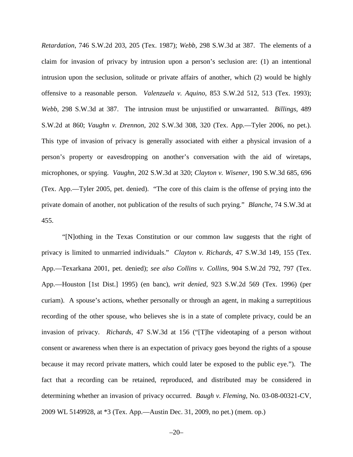*Retardation*, 746 S.W.2d 203, 205 (Tex. 1987); *Webb*, 298 S.W.3d at 387. The elements of a claim for invasion of privacy by intrusion upon a person's seclusion are: (1) an intentional intrusion upon the seclusion, solitude or private affairs of another, which (2) would be highly offensive to a reasonable person. *Valenzuela v. Aquino*, 853 S.W.2d 512, 513 (Tex. 1993); *Webb*, 298 S.W.3d at 387. The intrusion must be unjustified or unwarranted. *Billings*, 489 S.W.2d at 860; *Vaughn v. Drennon*, 202 S.W.3d 308, 320 (Tex. App.—Tyler 2006, no pet.). This type of invasion of privacy is generally associated with either a physical invasion of a person's property or eavesdropping on another's conversation with the aid of wiretaps, microphones, or spying. *Vaughn*, 202 S.W.3d at 320; *Clayton v. Wisener*, 190 S.W.3d 685, 696 (Tex. App.—Tyler 2005, pet. denied). "The core of this claim is the offense of prying into the private domain of another, not publication of the results of such prying." *Blanche*, 74 S.W.3d at 455.

"[N]othing in the Texas Constitution or our common law suggests that the right of privacy is limited to unmarried individuals." *Clayton v. Richards*, 47 S.W.3d 149, 155 (Tex. App.—Texarkana 2001, pet. denied); *see also Collins v. Collins*, 904 S.W.2d 792, 797 (Tex. App.—Houston [1st Dist.] 1995) (en banc), *writ denied*, 923 S.W.2d 569 (Tex. 1996) (per curiam). A spouse's actions, whether personally or through an agent, in making a surreptitious recording of the other spouse, who believes she is in a state of complete privacy, could be an invasion of privacy. *Richards*, 47 S.W.3d at 156 ("[T]he videotaping of a person without consent or awareness when there is an expectation of privacy goes beyond the rights of a spouse because it may record private matters, which could later be exposed to the public eye."). The fact that a recording can be retained, reproduced, and distributed may be considered in determining whether an invasion of privacy occurred. *Baugh v. Fleming*, No. 03-08-00321-CV, 2009 WL 5149928, at \*3 (Tex. App.—Austin Dec. 31, 2009, no pet.) (mem. op.)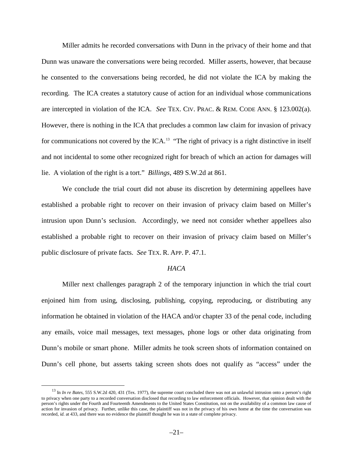Miller admits he recorded conversations with Dunn in the privacy of their home and that Dunn was unaware the conversations were being recorded. Miller asserts, however, that because he consented to the conversations being recorded, he did not violate the ICA by making the recording. The ICA creates a statutory cause of action for an individual whose communications are intercepted in violation of the ICA. *See* TEX. CIV. PRAC. & REM. CODE ANN. § 123.002(a). However, there is nothing in the ICA that precludes a common law claim for invasion of privacy for communications not covered by the  $ICA$ .<sup>[13](#page-20-0)</sup> "The right of privacy is a right distinctive in itself and not incidental to some other recognized right for breach of which an action for damages will lie. A violation of the right is a tort." *Billings*, 489 S.W.2d at 861.

We conclude the trial court did not abuse its discretion by determining appellees have established a probable right to recover on their invasion of privacy claim based on Miller's intrusion upon Dunn's seclusion. Accordingly, we need not consider whether appellees also established a probable right to recover on their invasion of privacy claim based on Miller's public disclosure of private facts. *See* TEX. R. APP. P. 47.1.

#### *HACA*

Miller next challenges paragraph 2 of the temporary injunction in which the trial court enjoined him from using, disclosing, publishing, copying, reproducing, or distributing any information he obtained in violation of the HACA and/or chapter 33 of the penal code, including any emails, voice mail messages, text messages, phone logs or other data originating from Dunn's mobile or smart phone. Miller admits he took screen shots of information contained on Dunn's cell phone, but asserts taking screen shots does not qualify as "access" under the

<span id="page-20-0"></span><sup>&</sup>lt;sup>13</sup> In *In re Bates*, 555 S.W.2d 420, 431 (Tex. 1977), the supreme court concluded there was not an unlawful intrusion onto a person's right to privacy when one party to a recorded conversation disclosed that recording to law enforcement officials. However, that opinion dealt with the person's rights under the Fourth and Fourteenth Amendments to the United States Constitution, not on the availability of a common law cause of action for invasion of privacy. Further, unlike this case, the plaintiff was not in the privacy of his own home at the time the conversation was recorded, *id.* at 433, and there was no evidence the plaintiff thought he was in a state of complete privacy.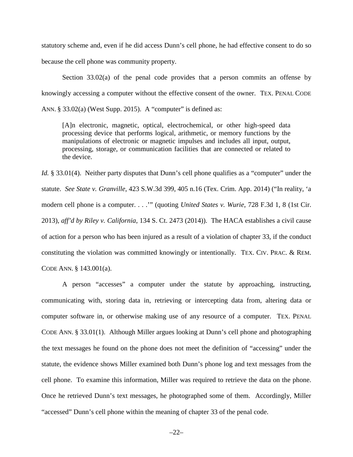statutory scheme and, even if he did access Dunn's cell phone, he had effective consent to do so because the cell phone was community property.

Section 33.02(a) of the penal code provides that a person commits an offense by knowingly accessing a computer without the effective consent of the owner. TEX. PENAL CODE ANN. § 33.02(a) (West Supp. 2015). A "computer" is defined as:

[A]n electronic, magnetic, optical, electrochemical, or other high-speed data processing device that performs logical, arithmetic, or memory functions by the manipulations of electronic or magnetic impulses and includes all input, output, processing, storage, or communication facilities that are connected or related to the device.

*Id.* § 33.01(4). Neither party disputes that Dunn's cell phone qualifies as a "computer" under the statute. *See State v. Granville*, 423 S.W.3d 399, 405 n.16 (Tex. Crim. App. 2014) ("In reality, 'a modern cell phone is a computer. . . .'" (quoting *United States v. Wurie*, 728 F.3d 1, 8 (1st Cir. 2013), *aff'd by Riley v. California*, 134 S. Ct. 2473 (2014)). The HACA establishes a civil cause of action for a person who has been injured as a result of a violation of chapter 33, if the conduct constituting the violation was committed knowingly or intentionally. TEX. CIV. PRAC. & REM. CODE ANN. § 143.001(a).

A person "accesses" a computer under the statute by approaching, instructing, communicating with, storing data in, retrieving or intercepting data from, altering data or computer software in, or otherwise making use of any resource of a computer. TEX. PENAL CODE ANN. § 33.01(1). Although Miller argues looking at Dunn's cell phone and photographing the text messages he found on the phone does not meet the definition of "accessing" under the statute, the evidence shows Miller examined both Dunn's phone log and text messages from the cell phone. To examine this information, Miller was required to retrieve the data on the phone. Once he retrieved Dunn's text messages, he photographed some of them. Accordingly, Miller "accessed" Dunn's cell phone within the meaning of chapter 33 of the penal code.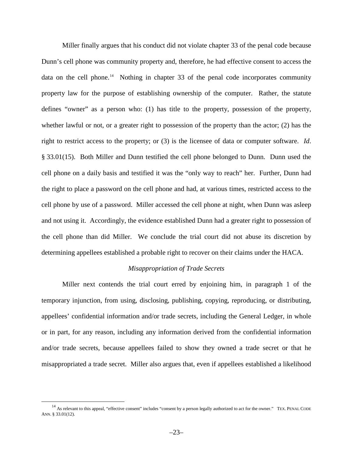Miller finally argues that his conduct did not violate chapter 33 of the penal code because Dunn's cell phone was community property and, therefore, he had effective consent to access the data on the cell phone.<sup>[14](#page-22-0)</sup> Nothing in chapter 33 of the penal code incorporates community property law for the purpose of establishing ownership of the computer. Rather, the statute defines "owner" as a person who: (1) has title to the property, possession of the property, whether lawful or not, or a greater right to possession of the property than the actor; (2) has the right to restrict access to the property; or (3) is the licensee of data or computer software. *Id*. § 33.01(15). Both Miller and Dunn testified the cell phone belonged to Dunn. Dunn used the cell phone on a daily basis and testified it was the "only way to reach" her. Further, Dunn had the right to place a password on the cell phone and had, at various times, restricted access to the cell phone by use of a password. Miller accessed the cell phone at night, when Dunn was asleep and not using it. Accordingly, the evidence established Dunn had a greater right to possession of the cell phone than did Miller. We conclude the trial court did not abuse its discretion by determining appellees established a probable right to recover on their claims under the HACA.

## *Misappropriation of Trade Secrets*

Miller next contends the trial court erred by enjoining him, in paragraph 1 of the temporary injunction, from using, disclosing, publishing, copying, reproducing, or distributing, appellees' confidential information and/or trade secrets, including the General Ledger, in whole or in part, for any reason, including any information derived from the confidential information and/or trade secrets, because appellees failed to show they owned a trade secret or that he misappropriated a trade secret. Miller also argues that, even if appellees established a likelihood

<span id="page-22-0"></span><sup>&</sup>lt;sup>14</sup> As relevant to this appeal, "effective consent" includes "consent by a person legally authorized to act for the owner." TEX. PENAL CODE ANN. § 33.01(12).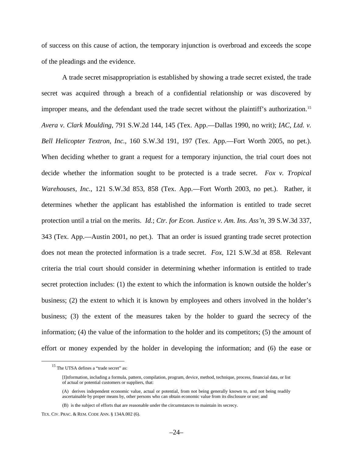of success on this cause of action, the temporary injunction is overbroad and exceeds the scope of the pleadings and the evidence.

A trade secret misappropriation is established by showing a trade secret existed, the trade secret was acquired through a breach of a confidential relationship or was discovered by improper means, and the defendant used the trade secret without the plaintiff's authorization.[15](#page-23-0) *Avera v. Clark Moulding*, 791 S.W.2d 144, 145 (Tex. App.—Dallas 1990, no writ); *IAC, Ltd. v. Bell Helicopter Textron, Inc.*, 160 S.W.3d 191, 197 (Tex. App.—Fort Worth 2005, no pet.). When deciding whether to grant a request for a temporary injunction, the trial court does not decide whether the information sought to be protected is a trade secret. *Fox v. Tropical Warehouses, Inc.*, 121 S.W.3d 853, 858 (Tex. App.—Fort Worth 2003, no pet.). Rather, it determines whether the applicant has established the information is entitled to trade secret protection until a trial on the merits. *Id.*; *Ctr. for Econ. Justice v. Am. Ins. Ass'n*, 39 S.W.3d 337, 343 (Tex. App.—Austin 2001, no pet.). That an order is issued granting trade secret protection does not mean the protected information is a trade secret. *Fox*, 121 S.W.3d at 858. Relevant criteria the trial court should consider in determining whether information is entitled to trade secret protection includes: (1) the extent to which the information is known outside the holder's business; (2) the extent to which it is known by employees and others involved in the holder's business; (3) the extent of the measures taken by the holder to guard the secrecy of the information; (4) the value of the information to the holder and its competitors; (5) the amount of effort or money expended by the holder in developing the information; and (6) the ease or

<span id="page-23-0"></span><sup>&</sup>lt;sup>15</sup> The UTSA defines a "trade secret" as:

<sup>[</sup>I]nformation, including a formula, pattern, compilation, program, device, method, technique, process, financial data, or list of actual or potential customers or suppliers, that:

<sup>(</sup>A) derives independent economic value, actual or potential, from not being generally known to, and not being readily ascertainable by proper means by, other persons who can obtain economic value from its disclosure or use; and

<sup>(</sup>B) is the subject of efforts that are reasonable under the circumstances to maintain its secrecy.

TEX. CIV. PRAC. & REM. CODE ANN. § 134A.002 (6).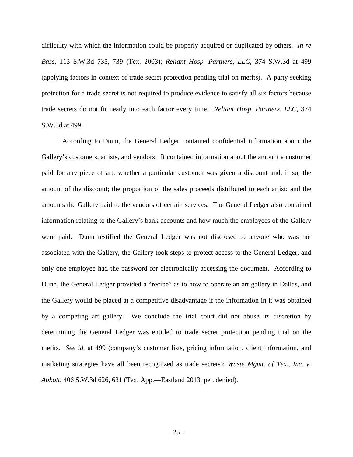difficulty with which the information could be properly acquired or duplicated by others. *In re Bass*, 113 S.W.3d 735, 739 (Tex. 2003); *Reliant Hosp. Partners, LLC*, 374 S.W.3d at 499 (applying factors in context of trade secret protection pending trial on merits). A party seeking protection for a trade secret is not required to produce evidence to satisfy all six factors because trade secrets do not fit neatly into each factor every time. *Reliant Hosp. Partners, LLC*, 374 S.W.3d at 499.

According to Dunn, the General Ledger contained confidential information about the Gallery's customers, artists, and vendors. It contained information about the amount a customer paid for any piece of art; whether a particular customer was given a discount and, if so, the amount of the discount; the proportion of the sales proceeds distributed to each artist; and the amounts the Gallery paid to the vendors of certain services. The General Ledger also contained information relating to the Gallery's bank accounts and how much the employees of the Gallery were paid. Dunn testified the General Ledger was not disclosed to anyone who was not associated with the Gallery, the Gallery took steps to protect access to the General Ledger, and only one employee had the password for electronically accessing the document. According to Dunn, the General Ledger provided a "recipe" as to how to operate an art gallery in Dallas, and the Gallery would be placed at a competitive disadvantage if the information in it was obtained by a competing art gallery. We conclude the trial court did not abuse its discretion by determining the General Ledger was entitled to trade secret protection pending trial on the merits. *See id.* at 499 (company's customer lists, pricing information, client information, and marketing strategies have all been recognized as trade secrets); *Waste Mgmt. of Tex., Inc. v. Abbott*, 406 S.W.3d 626, 631 (Tex. App.—Eastland 2013, pet. denied).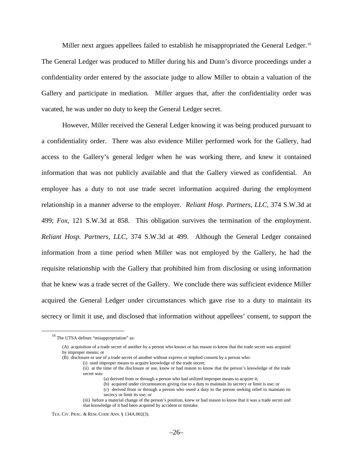Miller next argues appellees failed to establish he misappropriated the General Ledger.<sup>[16](#page-25-0)</sup> The General Ledger was produced to Miller during his and Dunn's divorce proceedings under a confidentiality order entered by the associate judge to allow Miller to obtain a valuation of the Gallery and participate in mediation. Miller argues that, after the confidentiality order was vacated, he was under no duty to keep the General Ledger secret.

However, Miller received the General Ledger knowing it was being produced pursuant to a confidentiality order. There was also evidence Miller performed work for the Gallery, had access to the Gallery's general ledger when he was working there, and knew it contained information that was not publicly available and that the Gallery viewed as confidential. An employee has a duty to not use trade secret information acquired during the employment relationship in a manner adverse to the employer. *Reliant Hosp. Partners, LLC*, 374 S.W.3d at 499; *Fox*, 121 S.W.3d at 858. This obligation survives the termination of the employment. *Reliant Hosp. Partners, LLC*, 374 S.W.3d at 499. Although the General Ledger contained information from a time period when Miller was not employed by the Gallery, he had the requisite relationship with the Gallery that prohibited him from disclosing or using information that he knew was a trade secret of the Gallery. We conclude there was sufficient evidence Miller acquired the General Ledger under circumstances which gave rise to a duty to maintain its secrecy or limit it use, and disclosed that information without appellees' consent, to support the

- (a) derived from or through a person who had utilized improper means to acquire it;
- (b) acquired under circumstances giving rise to a duty to maintain its secrecy or limit is use; or
- (c) derived from or through a person who owed a duty to the person seeking relief to maintain its secrecy or limit its use; or

<span id="page-25-0"></span> <sup>16</sup> The UTSA defines "misappropriation" as:

<sup>(</sup>A) acquisition of a trade secret of another by a person who knows or has reason to know that the trade secret was acquired by improper means; or

<sup>(</sup>B) disclosure or use of a trade secret of another without express or implied consent by a person who:

<sup>(</sup>i) used improper means to acquire knowledge of the trade secret;

<sup>(</sup>ii) at the time of the disclosure or use, knew or had reason to know that the person's knowledge of the trade secret was:

<sup>(</sup>iii) before a material change of the person's position, knew or had reason to know that it was a trade secret and that knowledge of it had been acquired by accident or mistake.

TEX. CIV. PRAC. & REM. CODE ANN. § 134A.002(3).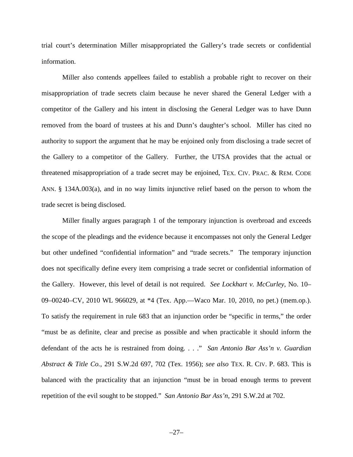trial court's determination Miller misappropriated the Gallery's trade secrets or confidential information.

Miller also contends appellees failed to establish a probable right to recover on their misappropriation of trade secrets claim because he never shared the General Ledger with a competitor of the Gallery and his intent in disclosing the General Ledger was to have Dunn removed from the board of trustees at his and Dunn's daughter's school. Miller has cited no authority to support the argument that he may be enjoined only from disclosing a trade secret of the Gallery to a competitor of the Gallery. Further, the UTSA provides that the actual or threatened misappropriation of a trade secret may be enjoined, TEX. CIV. PRAC. & REM. CODE ANN. § 134A.003(a), and in no way limits injunctive relief based on the person to whom the trade secret is being disclosed.

Miller finally argues paragraph 1 of the temporary injunction is overbroad and exceeds the scope of the pleadings and the evidence because it encompasses not only the General Ledger but other undefined "confidential information" and "trade secrets." The temporary injunction does not specifically define every item comprising a trade secret or confidential information of the Gallery. However, this level of detail is not required. *See Lockhart v. McCurley*, No. 10– 09–00240–CV, 2010 WL 966029, at \*4 (Tex. App.—Waco Mar. 10, 2010, no pet.) (mem.op.). To satisfy the requirement in rule 683 that an injunction order be "specific in terms," the order "must be as definite, clear and precise as possible and when practicable it should inform the defendant of the acts he is restrained from doing. . . ." *San Antonio Bar Ass'n v. Guardian Abstract & Title Co.*, 291 S.W.2d 697, 702 (Tex. 1956); *see also* TEX. R. CIV. P. 683. This is balanced with the practicality that an injunction "must be in broad enough terms to prevent repetition of the evil sought to be stopped." *San Antonio Bar Ass'n*, 291 S.W.2d at 702.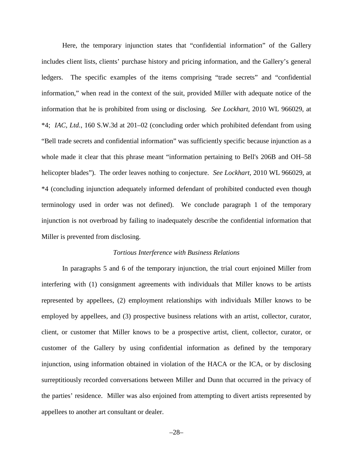Here, the temporary injunction states that "confidential information" of the Gallery includes client lists, clients' purchase history and pricing information, and the Gallery's general ledgers. The specific examples of the items comprising "trade secrets" and "confidential information," when read in the context of the suit, provided Miller with adequate notice of the information that he is prohibited from using or disclosing. *See Lockhart*, 2010 WL 966029, at \*4; *IAC, Ltd.*, 160 S.W.3d at 201–02 (concluding order which prohibited defendant from using "Bell trade secrets and confidential information" was sufficiently specific because injunction as a whole made it clear that this phrase meant "information pertaining to Bell's 206B and OH–58 helicopter blades"). The order leaves nothing to conjecture. *See Lockhart*, 2010 WL 966029, at \*4 (concluding injunction adequately informed defendant of prohibited conducted even though terminology used in order was not defined). We conclude paragraph 1 of the temporary injunction is not overbroad by failing to inadequately describe the confidential information that Miller is prevented from disclosing.

#### *Tortious Interference with Business Relations*

In paragraphs 5 and 6 of the temporary injunction, the trial court enjoined Miller from interfering with (1) consignment agreements with individuals that Miller knows to be artists represented by appellees, (2) employment relationships with individuals Miller knows to be employed by appellees, and (3) prospective business relations with an artist, collector, curator, client, or customer that Miller knows to be a prospective artist, client, collector, curator, or customer of the Gallery by using confidential information as defined by the temporary injunction, using information obtained in violation of the HACA or the ICA, or by disclosing surreptitiously recorded conversations between Miller and Dunn that occurred in the privacy of the parties' residence. Miller was also enjoined from attempting to divert artists represented by appellees to another art consultant or dealer.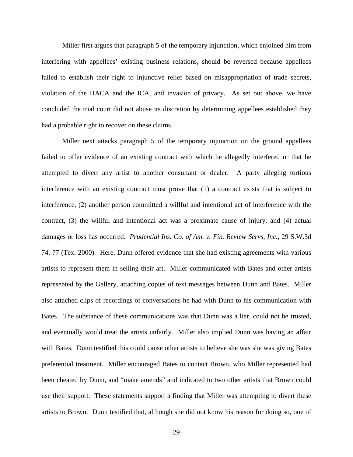Miller first argues that paragraph 5 of the temporary injunction, which enjoined him from interfering with appellees' existing business relations, should be reversed because appellees failed to establish their right to injunctive relief based on misappropriation of trade secrets, violation of the HACA and the ICA, and invasion of privacy. As set out above, we have concluded the trial court did not abuse its discretion by determining appellees established they had a probable right to recover on these claims.

Miller next attacks paragraph 5 of the temporary injunction on the ground appellees failed to offer evidence of an existing contract with which he allegedly interfered or that he attempted to divert any artist to another consultant or dealer. A party alleging tortious interference with an existing contract must prove that (1) a contract exists that is subject to interference, (2) another person committed a willful and intentional act of interference with the contract, (3) the willful and intentional act was a proximate cause of injury, and (4) actual damages or loss has occurred. *Prudential Ins. Co. of Am. v. Fin. Review Servs, Inc.*, 29 S.W.3d 74, 77 (Tex. 2000). Here, Dunn offered evidence that she had existing agreements with various artists to represent them in selling their art. Miller communicated with Bates and other artists represented by the Gallery, attaching copies of text messages between Dunn and Bates. Miller also attached clips of recordings of conversations he had with Dunn to his communication with Bates. The substance of these communications was that Dunn was a liar, could not be trusted, and eventually would treat the artists unfairly. Miller also implied Dunn was having an affair with Bates. Dunn testified this could cause other artists to believe she was she was giving Bates preferential treatment. Miller encouraged Bates to contact Brown, who Miller represented had been cheated by Dunn, and "make amends" and indicated to two other artists that Brown could use their support. These statements support a finding that Miller was attempting to divert these artists to Brown. Dunn testified that, although she did not know his reason for doing so, one of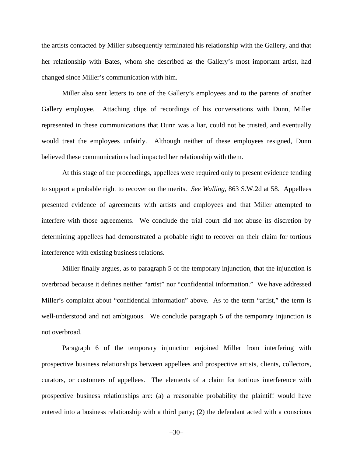the artists contacted by Miller subsequently terminated his relationship with the Gallery, and that her relationship with Bates, whom she described as the Gallery's most important artist, had changed since Miller's communication with him.

Miller also sent letters to one of the Gallery's employees and to the parents of another Gallery employee. Attaching clips of recordings of his conversations with Dunn, Miller represented in these communications that Dunn was a liar, could not be trusted, and eventually would treat the employees unfairly. Although neither of these employees resigned, Dunn believed these communications had impacted her relationship with them.

At this stage of the proceedings, appellees were required only to present evidence tending to support a probable right to recover on the merits. *See Walling*, 863 S.W.2d at 58. Appellees presented evidence of agreements with artists and employees and that Miller attempted to interfere with those agreements. We conclude the trial court did not abuse its discretion by determining appellees had demonstrated a probable right to recover on their claim for tortious interference with existing business relations.

Miller finally argues, as to paragraph 5 of the temporary injunction, that the injunction is overbroad because it defines neither "artist" nor "confidential information." We have addressed Miller's complaint about "confidential information" above. As to the term "artist," the term is well-understood and not ambiguous. We conclude paragraph 5 of the temporary injunction is not overbroad.

Paragraph 6 of the temporary injunction enjoined Miller from interfering with prospective business relationships between appellees and prospective artists, clients, collectors, curators, or customers of appellees. The elements of a claim for tortious interference with prospective business relationships are: (a) a reasonable probability the plaintiff would have entered into a business relationship with a third party; (2) the defendant acted with a conscious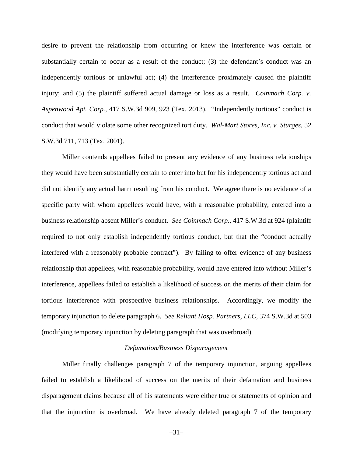desire to prevent the relationship from occurring or knew the interference was certain or substantially certain to occur as a result of the conduct; (3) the defendant's conduct was an independently tortious or unlawful act; (4) the interference proximately caused the plaintiff injury; and (5) the plaintiff suffered actual damage or loss as a result. *Coinmach Corp. v. Aspenwood Apt. Corp.*, 417 S.W.3d 909, 923 (Tex. 2013). "Independently tortious" conduct is conduct that would violate some other recognized tort duty. *Wal-Mart Stores, Inc. v. Sturges*, 52 S.W.3d 711, 713 (Tex. 2001).

Miller contends appellees failed to present any evidence of any business relationships they would have been substantially certain to enter into but for his independently tortious act and did not identify any actual harm resulting from his conduct. We agree there is no evidence of a specific party with whom appellees would have, with a reasonable probability, entered into a business relationship absent Miller's conduct. *See Coinmach Corp.*, 417 S.W.3d at 924 (plaintiff required to not only establish independently tortious conduct, but that the "conduct actually interfered with a reasonably probable contract"). By failing to offer evidence of any business relationship that appellees, with reasonable probability, would have entered into without Miller's interference, appellees failed to establish a likelihood of success on the merits of their claim for tortious interference with prospective business relationships. Accordingly, we modify the temporary injunction to delete paragraph 6. *See Reliant Hosp. Partners, LLC*, 374 S.W.3d at 503 (modifying temporary injunction by deleting paragraph that was overbroad).

#### *Defamation/Business Disparagement*

Miller finally challenges paragraph 7 of the temporary injunction, arguing appellees failed to establish a likelihood of success on the merits of their defamation and business disparagement claims because all of his statements were either true or statements of opinion and that the injunction is overbroad. We have already deleted paragraph 7 of the temporary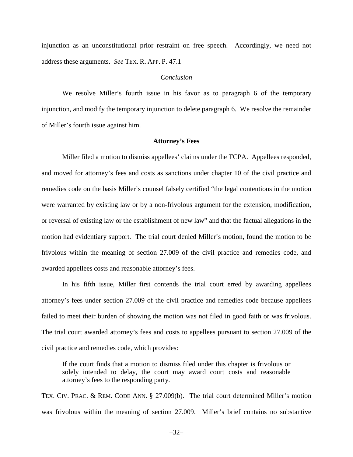injunction as an unconstitutional prior restraint on free speech. Accordingly, we need not address these arguments. *See* TEX. R. APP. P. 47.1

# *Conclusion*

We resolve Miller's fourth issue in his favor as to paragraph 6 of the temporary injunction, and modify the temporary injunction to delete paragraph 6. We resolve the remainder of Miller's fourth issue against him.

#### **Attorney's Fees**

Miller filed a motion to dismiss appellees' claims under the TCPA. Appellees responded, and moved for attorney's fees and costs as sanctions under chapter 10 of the civil practice and remedies code on the basis Miller's counsel falsely certified "the legal contentions in the motion were warranted by existing law or by a non-frivolous argument for the extension, modification, or reversal of existing law or the establishment of new law" and that the factual allegations in the motion had evidentiary support. The trial court denied Miller's motion, found the motion to be frivolous within the meaning of section 27.009 of the civil practice and remedies code, and awarded appellees costs and reasonable attorney's fees.

In his fifth issue, Miller first contends the trial court erred by awarding appellees attorney's fees under section 27.009 of the civil practice and remedies code because appellees failed to meet their burden of showing the motion was not filed in good faith or was frivolous. The trial court awarded attorney's fees and costs to appellees pursuant to section 27.009 of the civil practice and remedies code, which provides:

If the court finds that a motion to dismiss filed under this chapter is frivolous or solely intended to delay, the court may award court costs and reasonable attorney's fees to the responding party.

TEX. CIV. PRAC. & REM. CODE ANN. § 27.009(b). The trial court determined Miller's motion was frivolous within the meaning of section 27.009. Miller's brief contains no substantive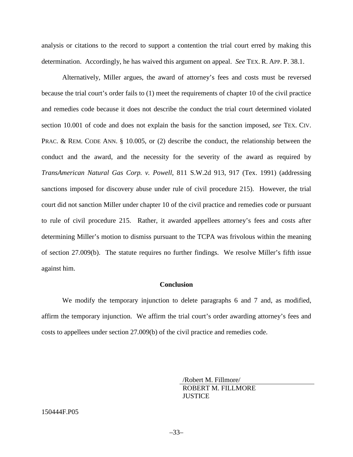analysis or citations to the record to support a contention the trial court erred by making this determination. Accordingly, he has waived this argument on appeal. *See* TEX. R. APP. P. 38.1.

Alternatively, Miller argues, the award of attorney's fees and costs must be reversed because the trial court's order fails to (1) meet the requirements of chapter 10 of the civil practice and remedies code because it does not describe the conduct the trial court determined violated section 10.001 of code and does not explain the basis for the sanction imposed, *see* TEX. CIV. PRAC. & REM. CODE ANN. § 10.005, or (2) describe the conduct, the relationship between the conduct and the award, and the necessity for the severity of the award as required by *TransAmerican Natural Gas Corp. v. Powell*, 811 S.W.2d 913, 917 (Tex. 1991) (addressing sanctions imposed for discovery abuse under rule of civil procedure 215). However, the trial court did not sanction Miller under chapter 10 of the civil practice and remedies code or pursuant to rule of civil procedure 215. Rather, it awarded appellees attorney's fees and costs after determining Miller's motion to dismiss pursuant to the TCPA was frivolous within the meaning of section 27.009(b). The statute requires no further findings. We resolve Miller's fifth issue against him.

#### **Conclusion**

We modify the temporary injunction to delete paragraphs 6 and 7 and, as modified, affirm the temporary injunction. We affirm the trial court's order awarding attorney's fees and costs to appellees under section 27.009(b) of the civil practice and remedies code.

> /Robert M. Fillmore/ ROBERT M. FILLMORE **JUSTICE**